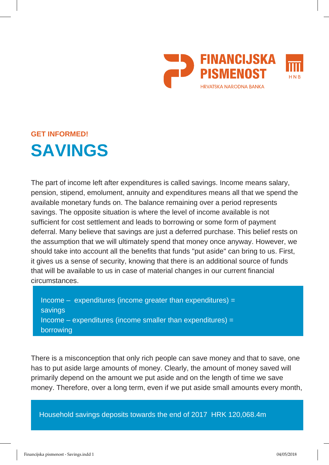

# **GET INFORMED! SAVINGS**

The part of income left after expenditures is called savings. Income means salary, pension, stipend, emolument, annuity and expenditures means all that we spend the available monetary funds on. The balance remaining over a period represents savings. The opposite situation is where the level of income available is not sufficient for cost settlement and leads to borrowing or some form of payment deferral. Many believe that savings are just a deferred purchase. This belief rests on the assumption that we will ultimately spend that money once anyway. However, we should take into account all the benefits that funds "put aside" can bring to us. First, it gives us a sense of security, knowing that there is an additional source of funds that will be available to us in case of material changes in our current financial circumstances.

 $Income -$  expenditures (income greater than expenditures) = savings Income  $-$  expenditures (income smaller than expenditures)  $=$ borrowing

There is a misconception that only rich people can save money and that to save, one has to put aside large amounts of money. Clearly, the amount of money saved will primarily depend on the amount we put aside and on the length of time we save money. Therefore, over a long term, even if we put aside small amounts every month,

Household savings deposits towards the end of 2017 HRK 120,068.4m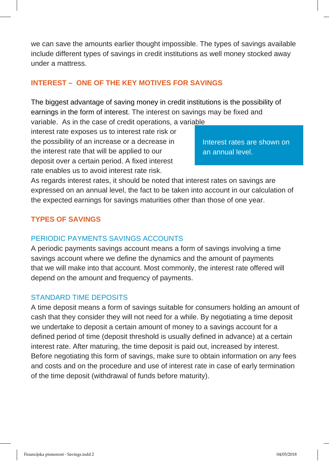we can save the amounts earlier thought impossible. The types of savings available include different types of savings in credit institutions as well money stocked away under a mattress.

## **INTEREST – ONE OF THE KEY MOTIVES FOR SAVINGS**

The biggest advantage of saving money in credit institutions is the possibility of earnings in the form of interest. The interest on savings may be fixed and

variable. As in the case of credit operations, a variable interest rate exposes us to interest rate risk or the possibility of an increase or a decrease in the interest rate that will be applied to our deposit over a certain period. A fixed interest rate enables us to avoid interest rate risk.

Interest rates are shown on an annual level.

As regards interest rates, it should be noted that interest rates on savings are expressed on an annual level, the fact to be taken into account in our calculation of the expected earnings for savings maturities other than those of one year.

# **TYPES OF SAVINGS**

### PERIODIC PAYMENTS SAVINGS ACCOUNTS

A periodic payments savings account means a form of savings involving a time savings account where we define the dynamics and the amount of payments that we will make into that account. Most commonly, the interest rate offered will depend on the amount and frequency of payments.

### STANDARD TIME DEPOSITS

A time deposit means a form of savings suitable for consumers holding an amount of cash that they consider they will not need for a while. By negotiating a time deposit we undertake to deposit a certain amount of money to a savings account for a defined period of time (deposit threshold is usually defined in advance) at a certain interest rate. After maturing, the time deposit is paid out, increased by interest. Before negotiating this form of savings, make sure to obtain information on any fees and costs and on the procedure and use of interest rate in case of early termination of the time deposit (withdrawal of funds before maturity).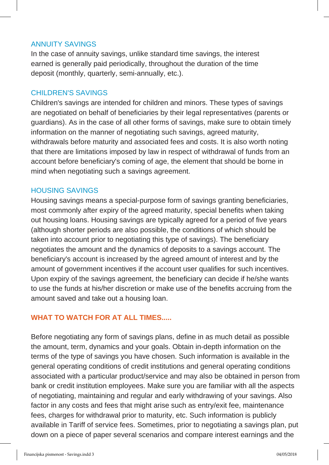#### ANNUITY SAVINGS

In the case of annuity savings, unlike standard time savings, the interest earned is generally paid periodically, throughout the duration of the time deposit (monthly, quarterly, semi-annually, etc.).

### CHILDREN'S SAVINGS

Children's savings are intended for children and minors. These types of savings are negotiated on behalf of beneficiaries by their legal representatives (parents or guardians). As in the case of all other forms of savings, make sure to obtain timely information on the manner of negotiating such savings, agreed maturity, withdrawals before maturity and associated fees and costs. It is also worth noting that there are limitations imposed by law in respect of withdrawal of funds from an account before beneficiary's coming of age, the element that should be borne in mind when negotiating such a savings agreement.

#### HOUSING SAVINGS

Housing savings means a special-purpose form of savings granting beneficiaries, most commonly after expiry of the agreed maturity, special benefits when taking out housing loans. Housing savings are typically agreed for a period of five years (although shorter periods are also possible, the conditions of which should be taken into account prior to negotiating this type of savings). The beneficiary negotiates the amount and the dynamics of deposits to a savings account. The beneficiary's account is increased by the agreed amount of interest and by the amount of government incentives if the account user qualifies for such incentives. Upon expiry of the savings agreement, the beneficiary can decide if he/she wants to use the funds at his/her discretion or make use of the benefits accruing from the amount saved and take out a housing loan.

## **WHAT TO WATCH FOR AT ALL TIMES.....**

Before negotiating any form of savings plans, define in as much detail as possible the amount, term, dynamics and your goals. Obtain in-depth information on the terms of the type of savings you have chosen. Such information is available in the general operating conditions of credit institutions and general operating conditions associated with a particular product/service and may also be obtained in person from bank or credit institution employees. Make sure you are familiar with all the aspects of negotiating, maintaining and regular and early withdrawing of your savings. Also factor in any costs and fees that might arise such as entry/exit fee, maintenance fees, charges for withdrawal prior to maturity, etc. Such information is publicly available in Tariff of service fees. Sometimes, prior to negotiating a savings plan, put down on a piece of paper several scenarios and compare interest earnings and the